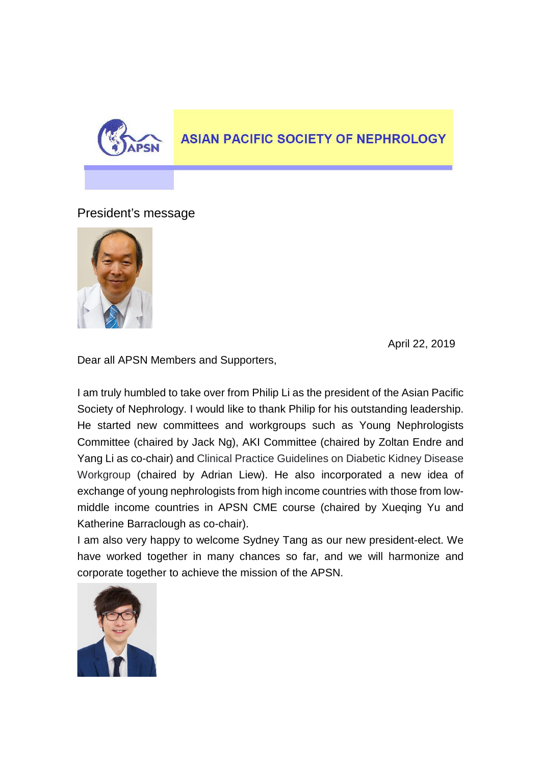

## **ASIAN PACIFIC SOCIETY OF NEPHROLOGY**

President's message



April 22, 2019

Dear all APSN Members and Supporters,

I am truly humbled to take over from Philip Li as the president of the Asian Pacific Society of Nephrology. I would like to thank Philip for his outstanding leadership. He started new committees and workgroups such as Young Nephrologists Committee (chaired by Jack Ng), AKI Committee (chaired by Zoltan Endre and Yang Li as co-chair) and Clinical Practice Guidelines on Diabetic Kidney Disease Workgroup (chaired by Adrian Liew). He also incorporated a new idea of exchange of young nephrologists from high income countries with those from lowmiddle income countries in APSN CME course (chaired by Xueqing Yu and Katherine Barraclough as co-chair).

I am also very happy to welcome Sydney Tang as our new president-elect. We have worked together in many chances so far, and we will harmonize and corporate together to achieve the mission of the APSN.

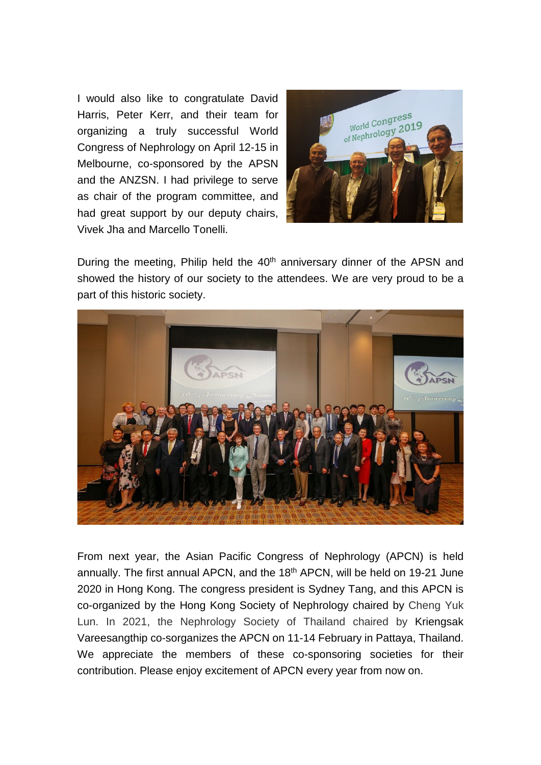I would also like to congratulate David Harris, Peter Kerr, and their team for organizing a truly successful World Congress of Nephrology on April 12-15 in Melbourne, co-sponsored by the APSN and the ANZSN. I had privilege to serve as chair of the program committee, and had great support by our deputy chairs, Vivek Jha and Marcello Tonelli.



During the meeting, Philip held the 40<sup>th</sup> anniversary dinner of the APSN and showed the history of our society to the attendees. We are very proud to be a part of this historic society.



From next year, the Asian Pacific Congress of Nephrology (APCN) is held annually. The first annual APCN, and the 18<sup>th</sup> APCN, will be held on 19-21 June 2020 in Hong Kong. The congress president is Sydney Tang, and this APCN is co-organized by the Hong Kong Society of Nephrology chaired by Cheng Yuk Lun. In 2021, the Nephrology Society of Thailand chaired by Kriengsak Vareesangthip co-sorganizes the APCN on 11-14 February in Pattaya, Thailand. We appreciate the members of these co-sponsoring societies for their contribution. Please enjoy excitement of APCN every year from now on.